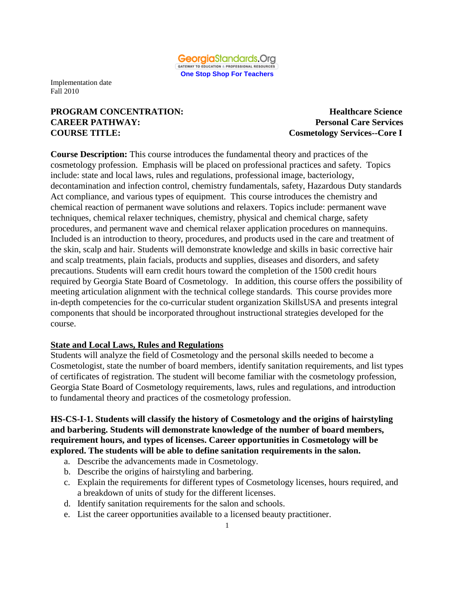

## **PROGRAM CONCENTRATION: Healthcare Science CAREER PATHWAY: Personal Care Services COURSE TITLE: Cosmetology Services--Core I**

**Course Description:** This course introduces the fundamental theory and practices of the cosmetology profession. Emphasis will be placed on professional practices and safety. Topics include: state and local laws, rules and regulations, professional image, bacteriology, decontamination and infection control, chemistry fundamentals, safety, Hazardous Duty standards Act compliance, and various types of equipment. This course introduces the chemistry and chemical reaction of permanent wave solutions and relaxers. Topics include: permanent wave techniques, chemical relaxer techniques, chemistry, physical and chemical charge, safety procedures, and permanent wave and chemical relaxer application procedures on mannequins. Included is an introduction to theory, procedures, and products used in the care and treatment of the skin, scalp and hair. Students will demonstrate knowledge and skills in basic corrective hair and scalp treatments, plain facials, products and supplies, diseases and disorders, and safety precautions. Students will earn credit hours toward the completion of the 1500 credit hours required by Georgia State Board of Cosmetology. In addition, this course offers the possibility of meeting articulation alignment with the technical college standards. This course provides more in-depth competencies for the co-curricular student organization SkillsUSA and presents integral components that should be incorporated throughout instructional strategies developed for the course.

#### **State and Local Laws, Rules and Regulations**

Students will analyze the field of Cosmetology and the personal skills needed to become a Cosmetologist, state the number of board members, identify sanitation requirements, and list types of certificates of registration. The student will become familiar with the cosmetology profession, Georgia State Board of Cosmetology requirements, laws, rules and regulations, and introduction to fundamental theory and practices of the cosmetology profession.

**HS-CS-I-1. Students will classify the history of Cosmetology and the origins of hairstyling and barbering. Students will demonstrate knowledge of the number of board members, requirement hours, and types of licenses. Career opportunities in Cosmetology will be explored. The students will be able to define sanitation requirements in the salon.** 

- a. Describe the advancements made in Cosmetology.
- b. Describe the origins of hairstyling and barbering.
- c. Explain the requirements for different types of Cosmetology licenses, hours required, and a breakdown of units of study for the different licenses.
- d. Identify sanitation requirements for the salon and schools.
- e. List the career opportunities available to a licensed beauty practitioner.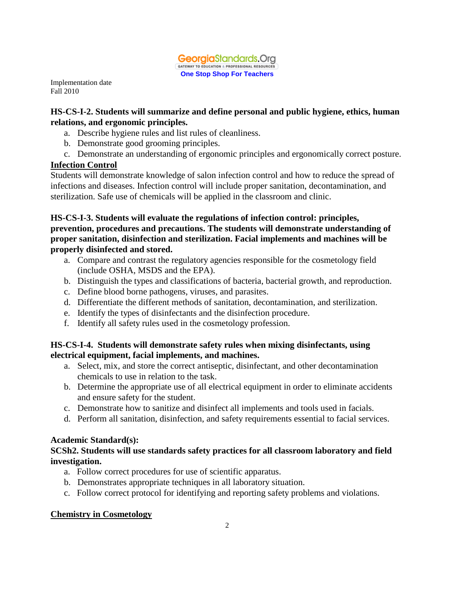

## **HS-CS-I-2. Students will summarize and define personal and public hygiene, ethics, human relations, and ergonomic principles.**

- a. Describe hygiene rules and list rules of cleanliness.
- b. Demonstrate good grooming principles.
- c. Demonstrate an understanding of ergonomic principles and ergonomically correct posture.

## **Infection Control**

Students will demonstrate knowledge of salon infection control and how to reduce the spread of infections and diseases. Infection control will include proper sanitation, decontamination, and sterilization. Safe use of chemicals will be applied in the classroom and clinic.

## **HS-CS-I-3. Students will evaluate the regulations of infection control: principles, prevention, procedures and precautions. The students will demonstrate understanding of proper sanitation, disinfection and sterilization. Facial implements and machines will be properly disinfected and stored.**

- a. Compare and contrast the regulatory agencies responsible for the cosmetology field (include OSHA, MSDS and the EPA).
- b. Distinguish the types and classifications of bacteria, bacterial growth, and reproduction.
- c. Define blood borne pathogens, viruses, and parasites.
- d. Differentiate the different methods of sanitation, decontamination, and sterilization.
- e. Identify the types of disinfectants and the disinfection procedure.
- f. Identify all safety rules used in the cosmetology profession.

## **HS-CS-I-4. Students will demonstrate safety rules when mixing disinfectants, using electrical equipment, facial implements, and machines.**

- a. Select, mix, and store the correct antiseptic, disinfectant, and other decontamination chemicals to use in relation to the task.
- b. Determine the appropriate use of all electrical equipment in order to eliminate accidents and ensure safety for the student.
- c. Demonstrate how to sanitize and disinfect all implements and tools used in facials.
- d. Perform all sanitation, disinfection, and safety requirements essential to facial services.

## **Academic Standard(s):**

## **SCSh2. Students will use standards safety practices for all classroom laboratory and field investigation.**

- a. Follow correct procedures for use of scientific apparatus.
- b. Demonstrates appropriate techniques in all laboratory situation.
- c. Follow correct protocol for identifying and reporting safety problems and violations.

## **Chemistry in Cosmetology**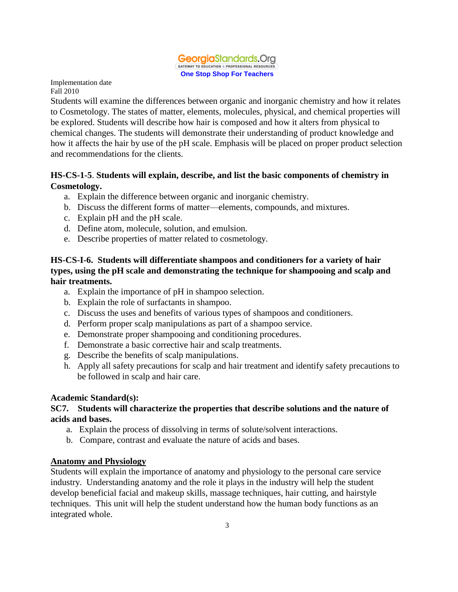

Students will examine the differences between organic and inorganic chemistry and how it relates to Cosmetology. The states of matter, elements, molecules, physical, and chemical properties will be explored. Students will describe how hair is composed and how it alters from physical to chemical changes. The students will demonstrate their understanding of product knowledge and how it affects the hair by use of the pH scale. Emphasis will be placed on proper product selection and recommendations for the clients.

## **HS-CS-1-5**. **Students will explain, describe, and list the basic components of chemistry in Cosmetology.**

- a. Explain the difference between organic and inorganic chemistry.
- b. Discuss the different forms of matter—elements, compounds, and mixtures.
- c. Explain pH and the pH scale.
- d. Define atom, molecule, solution, and emulsion.
- e. Describe properties of matter related to cosmetology.

#### **HS-CS-I-6. Students will differentiate shampoos and conditioners for a variety of hair types, using the pH scale and demonstrating the technique for shampooing and scalp and hair treatments.**

- a. Explain the importance of pH in shampoo selection.
- b. Explain the role of surfactants in shampoo.
- c. Discuss the uses and benefits of various types of shampoos and conditioners.
- d. Perform proper scalp manipulations as part of a shampoo service.
- e. Demonstrate proper shampooing and conditioning procedures.
- f. Demonstrate a basic corrective hair and scalp treatments.
- g. Describe the benefits of scalp manipulations.
- h. Apply all safety precautions for scalp and hair treatment and identify safety precautions to be followed in scalp and hair care.

## **Academic Standard(s):**

#### **SC7. Students will characterize the properties that describe solutions and the nature of acids and bases.**

- a. Explain the process of dissolving in terms of solute/solvent interactions.
- b. Compare, contrast and evaluate the nature of acids and bases.

## **Anatomy and Physiology**

Students will explain the importance of anatomy and physiology to the personal care service industry. Understanding anatomy and the role it plays in the industry will help the student develop beneficial facial and makeup skills, massage techniques, hair cutting, and hairstyle techniques. This unit will help the student understand how the human body functions as an integrated whole.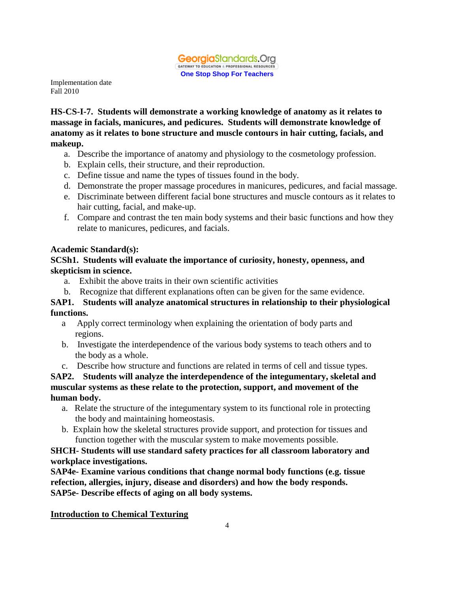

**HS-CS-I-7. Students will demonstrate a working knowledge of anatomy as it relates to massage in facials, manicures, and pedicures. Students will demonstrate knowledge of anatomy as it relates to bone structure and muscle contours in hair cutting, facials, and makeup.** 

- a. Describe the importance of anatomy and physiology to the cosmetology profession.
- b. Explain cells, their structure, and their reproduction.
- c. Define tissue and name the types of tissues found in the body.
- d. Demonstrate the proper massage procedures in manicures, pedicures, and facial massage.
- e. Discriminate between different facial bone structures and muscle contours as it relates to hair cutting, facial, and make-up.
- f. Compare and contrast the ten main body systems and their basic functions and how they relate to manicures, pedicures, and facials.

## **Academic Standard(s):**

## **SCSh1. Students will evaluate the importance of curiosity, honesty, openness, and skepticism in science.**

- a. Exhibit the above traits in their own scientific activities
- b. Recognize that different explanations often can be given for the same evidence.

## **SAP1. Students will analyze anatomical structures in relationship to their physiological functions.**

- a Apply correct terminology when explaining the orientation of body parts and regions.
- b. Investigate the interdependence of the various body systems to teach others and to the body as a whole.

c. Describe how structure and functions are related in terms of cell and tissue types.

**SAP2. Students will analyze the interdependence of the integumentary, skeletal and muscular systems as these relate to the protection, support, and movement of the human body.**

- a. Relate the structure of the integumentary system to its functional role in protecting the body and maintaining homeostasis.
- b. Explain how the skeletal structures provide support, and protection for tissues and function together with the muscular system to make movements possible.

## **SHCH- Students will use standard safety practices for all classroom laboratory and workplace investigations.**

**SAP4e- Examine various conditions that change normal body functions (e.g. tissue refection, allergies, injury, disease and disorders) and how the body responds. SAP5e- Describe effects of aging on all body systems.** 

**Introduction to Chemical Texturing**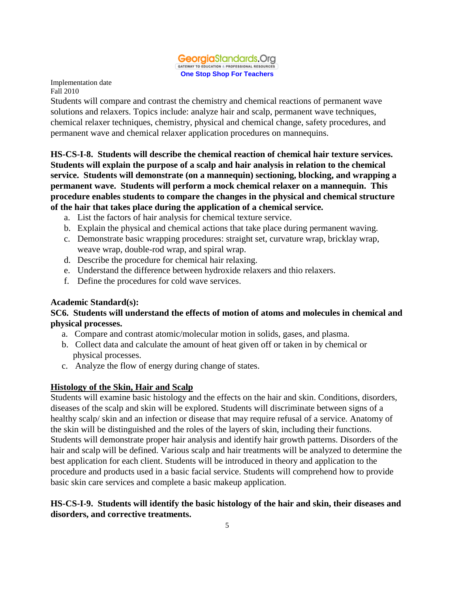

Students will compare and contrast the chemistry and chemical reactions of permanent wave solutions and relaxers. Topics include: analyze hair and scalp, permanent wave techniques, chemical relaxer techniques, chemistry, physical and chemical change, safety procedures, and permanent wave and chemical relaxer application procedures on mannequins.

**HS-CS-I-8. Students will describe the chemical reaction of chemical hair texture services. Students will explain the purpose of a scalp and hair analysis in relation to the chemical service. Students will demonstrate (on a mannequin) sectioning, blocking, and wrapping a permanent wave. Students will perform a mock chemical relaxer on a mannequin. This procedure enables students to compare the changes in the physical and chemical structure of the hair that takes place during the application of a chemical service.** 

- a. List the factors of hair analysis for chemical texture service.
- b. Explain the physical and chemical actions that take place during permanent waving.
- c. Demonstrate basic wrapping procedures: straight set, curvature wrap, bricklay wrap, weave wrap, double-rod wrap, and spiral wrap.
- d. Describe the procedure for chemical hair relaxing.
- e. Understand the difference between hydroxide relaxers and thio relaxers.
- f. Define the procedures for cold wave services.

#### **Academic Standard(s):**

#### **SC6. Students will understand the effects of motion of atoms and molecules in chemical and physical processes.**

- a. Compare and contrast atomic/molecular motion in solids, gases, and plasma.
- b. Collect data and calculate the amount of heat given off or taken in by chemical or physical processes.
- c. Analyze the flow of energy during change of states.

#### **Histology of the Skin, Hair and Scalp**

Students will examine basic histology and the effects on the hair and skin. Conditions, disorders, diseases of the scalp and skin will be explored. Students will discriminate between signs of a healthy scalp/ skin and an infection or disease that may require refusal of a service. Anatomy of the skin will be distinguished and the roles of the layers of skin, including their functions. Students will demonstrate proper hair analysis and identify hair growth patterns. Disorders of the hair and scalp will be defined. Various scalp and hair treatments will be analyzed to determine the best application for each client. Students will be introduced in theory and application to the procedure and products used in a basic facial service. Students will comprehend how to provide basic skin care services and complete a basic makeup application.

#### **HS-CS-I-9. Students will identify the basic histology of the hair and skin, their diseases and disorders, and corrective treatments.**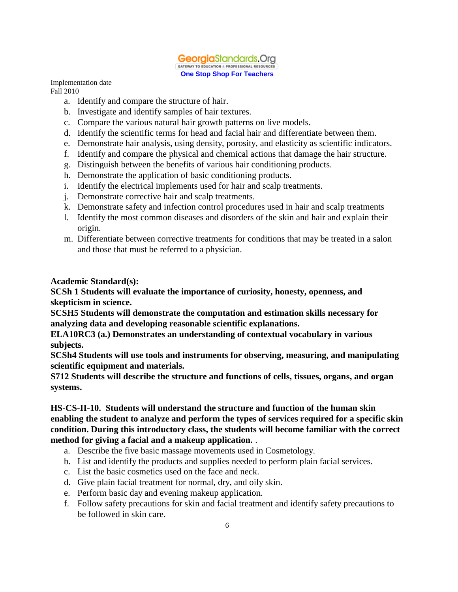

- a. Identify and compare the structure of hair.
- b. Investigate and identify samples of hair textures.
- c. Compare the various natural hair growth patterns on live models.
- d. Identify the scientific terms for head and facial hair and differentiate between them.
- e. Demonstrate hair analysis, using density, porosity, and elasticity as scientific indicators.
- f. Identify and compare the physical and chemical actions that damage the hair structure.
- g. Distinguish between the benefits of various hair conditioning products.
- h. Demonstrate the application of basic conditioning products.
- i. Identify the electrical implements used for hair and scalp treatments.
- j. Demonstrate corrective hair and scalp treatments.
- k. Demonstrate safety and infection control procedures used in hair and scalp treatments
- l. Identify the most common diseases and disorders of the skin and hair and explain their origin.
- m. Differentiate between corrective treatments for conditions that may be treated in a salon and those that must be referred to a physician.

#### **Academic Standard(s):**

**SCSh 1 Students will evaluate the importance of curiosity, honesty, openness, and skepticism in science.**

**SCSH5 Students will demonstrate the computation and estimation skills necessary for analyzing data and developing reasonable scientific explanations.**

**ELA10RC3 (a.) Demonstrates an understanding of contextual vocabulary in various subjects.**

**SCSh4 Students will use tools and instruments for observing, measuring, and manipulating scientific equipment and materials.**

**S712 Students will describe the structure and functions of cells, tissues, organs, and organ systems.**

#### **HS-CS-II-10. Students will understand the structure and function of the human skin enabling the student to analyze and perform the types of services required for a specific skin condition. During this introductory class, the students will become familiar with the correct method for giving a facial and a makeup application.** .

- a. Describe the five basic massage movements used in Cosmetology.
- b. List and identify the products and supplies needed to perform plain facial services.
- c. List the basic cosmetics used on the face and neck.
- d. Give plain facial treatment for normal, dry, and oily skin.
- e. Perform basic day and evening makeup application.
- f. Follow safety precautions for skin and facial treatment and identify safety precautions to be followed in skin care.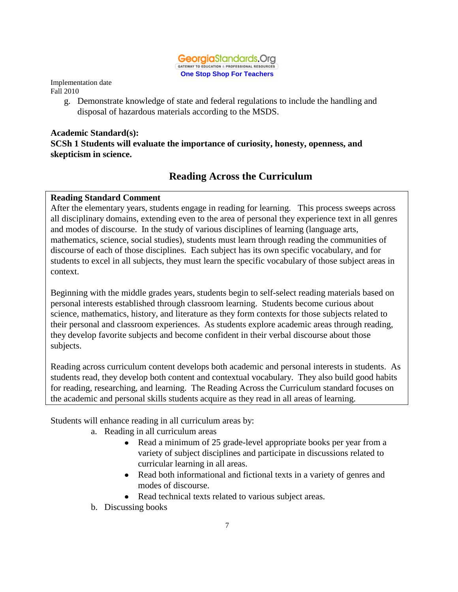

> g. Demonstrate knowledge of state and federal regulations to include the handling and disposal of hazardous materials according to the MSDS.

## **Academic Standard(s): SCSh 1 Students will evaluate the importance of curiosity, honesty, openness, and skepticism in science.**

# **Reading Across the Curriculum**

## **Reading Standard Comment**

After the elementary years, students engage in reading for learning. This process sweeps across all disciplinary domains, extending even to the area of personal they experience text in all genres and modes of discourse. In the study of various disciplines of learning (language arts, mathematics, science, social studies), students must learn through reading the communities of discourse of each of those disciplines. Each subject has its own specific vocabulary, and for students to excel in all subjects, they must learn the specific vocabulary of those subject areas in context.

Beginning with the middle grades years, students begin to self-select reading materials based on personal interests established through classroom learning. Students become curious about science, mathematics, history, and literature as they form contexts for those subjects related to their personal and classroom experiences. As students explore academic areas through reading, they develop favorite subjects and become confident in their verbal discourse about those subjects.

Reading across curriculum content develops both academic and personal interests in students. As students read, they develop both content and contextual vocabulary. They also build good habits for reading, researching, and learning. The Reading Across the Curriculum standard focuses on the academic and personal skills students acquire as they read in all areas of learning.

Students will enhance reading in all curriculum areas by:

- a. Reading in all curriculum areas
	- Read a minimum of 25 grade-level appropriate books per year from a  $\bullet$ variety of subject disciplines and participate in discussions related to curricular learning in all areas.
	- Read both informational and fictional texts in a variety of genres and modes of discourse.
	- Read technical texts related to various subject areas.
- b. Discussing books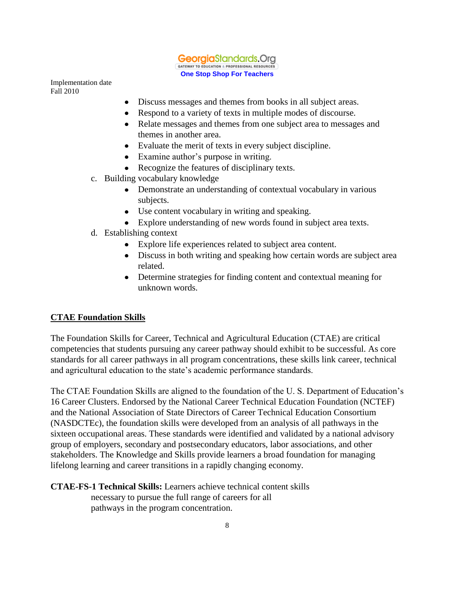

- $\bullet$ Discuss messages and themes from books in all subject areas.
- Respond to a variety of texts in multiple modes of discourse.  $\bullet$
- Relate messages and themes from one subject area to messages and themes in another area.
- Evaluate the merit of texts in every subject discipline.
- Examine author's purpose in writing.
- Recognize the features of disciplinary texts.
- c. Building vocabulary knowledge
	- Demonstrate an understanding of contextual vocabulary in various subjects.
	- Use content vocabulary in writing and speaking.
	- Explore understanding of new words found in subject area texts.
- d. Establishing context
	- Explore life experiences related to subject area content.
	- Discuss in both writing and speaking how certain words are subject area related.
	- Determine strategies for finding content and contextual meaning for unknown words.

#### **CTAE Foundation Skills**

The Foundation Skills for Career, Technical and Agricultural Education (CTAE) are critical competencies that students pursuing any career pathway should exhibit to be successful. As core standards for all career pathways in all program concentrations, these skills link career, technical and agricultural education to the state's academic performance standards.

The CTAE Foundation Skills are aligned to the foundation of the U. S. Department of Education's 16 Career Clusters. Endorsed by the National Career Technical Education Foundation (NCTEF) and the National Association of State Directors of Career Technical Education Consortium (NASDCTEc), the foundation skills were developed from an analysis of all pathways in the sixteen occupational areas. These standards were identified and validated by a national advisory group of employers, secondary and postsecondary educators, labor associations, and other stakeholders. The Knowledge and Skills provide learners a broad foundation for managing lifelong learning and career transitions in a rapidly changing economy.

**CTAE-FS-1 Technical Skills:** Learners achieve technical content skills necessary to pursue the full range of careers for all pathways in the program concentration.